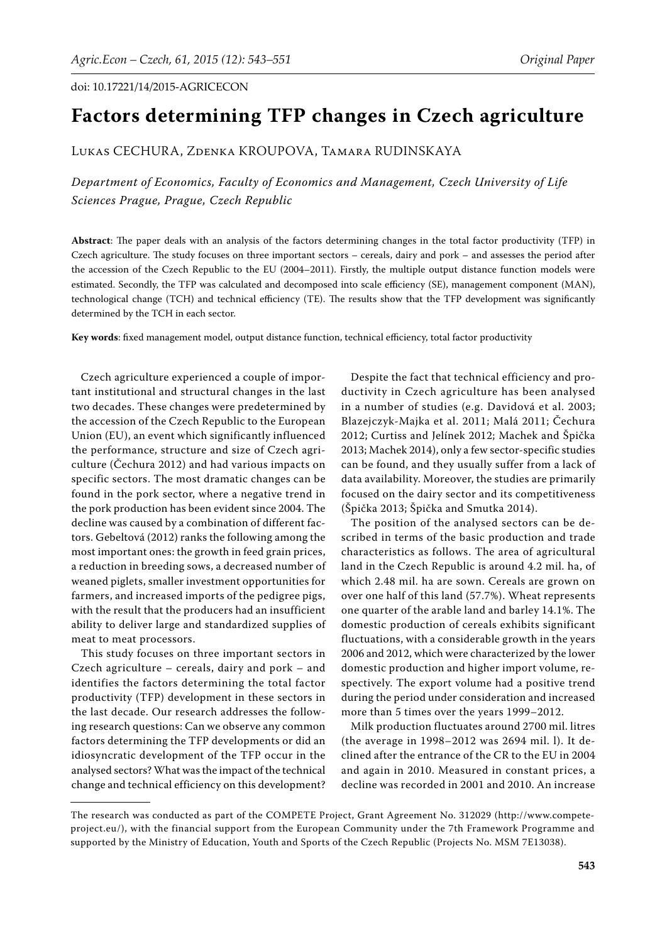# **Factors determining TFP changes in Czech agriculture**

Lukas CECHURA, Zdenka KROUPOVA, Tamara RUDINSKAYA

*Department of Economics, Faculty of Economics and Management, Czech University of Life Sciences Prague, Prague, Czech Republic*

Abstract: The paper deals with an analysis of the factors determining changes in the total factor productivity (TFP) in Czech agriculture. The study focuses on three important sectors - cereals, dairy and pork - and assesses the period after the accession of the Czech Republic to the EU (2004–2011). Firstly, the multiple output distance function models were estimated. Secondly, the TFP was calculated and decomposed into scale efficiency (SE), management component (MAN), technological change (TCH) and technical efficiency (TE). The results show that the TFP development was significantly determined by the TCH in each sector.

Key words: fixed management model, output distance function, technical efficiency, total factor productivity

Czech agriculture experienced a couple of important institutional and structural changes in the last two decades. These changes were predetermined by the accession of the Czech Republic to the European Union (EU), an event which significantly influenced the performance, structure and size of Czech agriculture (Čechura 2012) and had various impacts on specific sectors. The most dramatic changes can be found in the pork sector, where a negative trend in the pork production has been evident since 2004. The decline was caused by a combination of different factors. Gebeltová (2012) ranks the following among the most important ones: the growth in feed grain prices, a reduction in breeding sows, a decreased number of weaned piglets, smaller investment opportunities for farmers, and increased imports of the pedigree pigs, with the result that the producers had an insufficient ability to deliver large and standardized supplies of meat to meat processors.

This study focuses on three important sectors in Czech agriculture – cereals, dairy and pork – and identifies the factors determining the total factor productivity (TFP) development in these sectors in the last decade. Our research addresses the following research questions: Can we observe any common factors determining the TFP developments or did an idiosyncratic development of the TFP occur in the analysed sectors? What was the impact of the technical change and technical efficiency on this development?

Despite the fact that technical efficiency and productivity in Czech agriculture has been analysed in a number of studies (e.g. Davidová et al. 2003; Blazejczyk-Majka et al. 2011; Malá 2011; Čechura 2012; Curtiss and Jelínek 2012; Machek and Špička 2013; Machek 2014), only a few sector-specific studies can be found, and they usually suffer from a lack of data availability. Moreover, the studies are primarily focused on the dairy sector and its competitiveness (Špička 2013; Špička and Smutka 2014).

The position of the analysed sectors can be described in terms of the basic production and trade characteristics as follows. The area of agricultural land in the Czech Republic is around 4.2 mil. ha, of which 2.48 mil. ha are sown. Cereals are grown on over one half of this land (57.7%). Wheat represents one quarter of the arable land and barley 14.1%. The domestic production of cereals exhibits significant fluctuations, with a considerable growth in the years 2006 and 2012, which were characterized by the lower domestic production and higher import volume, respectively. The export volume had a positive trend during the period under consideration and increased more than 5 times over the years 1999–2012.

Milk production fluctuates around 2700 mil. litres (the average in 1998–2012 was 2694 mil. l). It declined after the entrance of the CR to the EU in 2004 and again in 2010. Measured in constant prices, a decline was recorded in 2001 and 2010. An increase

The research was conducted as part of the COMPETE Project, Grant Agreement No. 312029 (http://www.competeproject.eu/), with the financial support from the European Community under the 7th Framework Programme and supported by the Ministry of Education, Youth and Sports of the Czech Republic (Projects No. MSM 7E13038).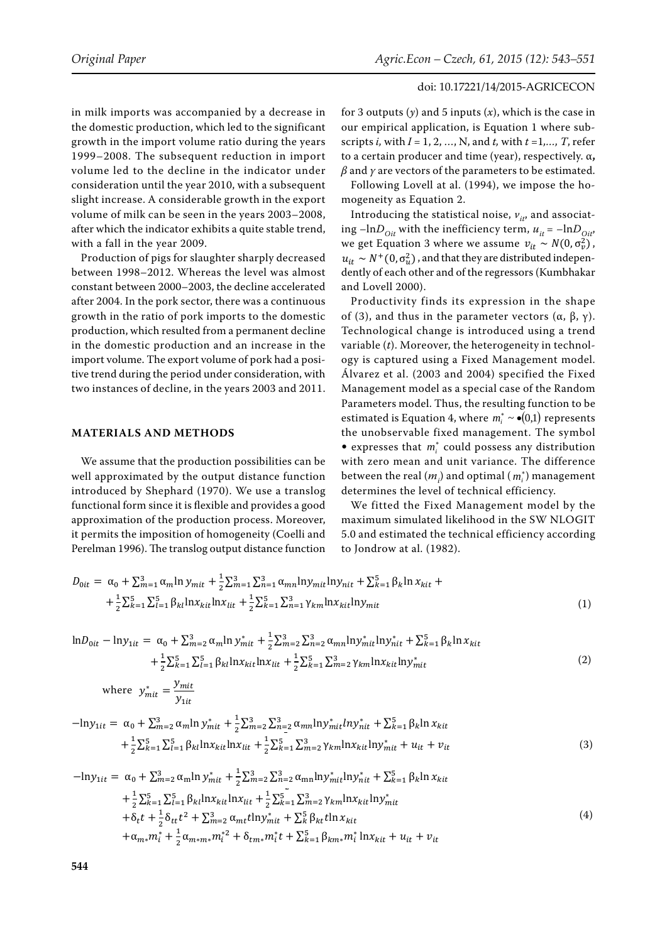in milk imports was accompanied by a decrease in the domestic production, which led to the significant growth in the import volume ratio during the years 1999–2008. The subsequent reduction in import volume led to the decline in the indicator under consideration until the year 2010, with a subsequent slight increase. A considerable growth in the export volume of milk can be seen in the years 2003–2008, after which the indicator exhibits a quite stable trend, with a fall in the year 2009.

Production of pigs for slaughter sharply decreased between 1998–2012. Whereas the level was almost constant between 2000–2003, the decline accelerated after 2004. In the pork sector, there was a continuous growth in the ratio of pork imports to the domestic production, which resulted from a permanent decline in the domestic production and an increase in the import volume. The export volume of pork had a positive trend during the period under consideration, with two instances of decline, in the years 2003 and 2011.

### **MATERIALS AND METHODS**

We assume that the production possibilities can be well approximated by the output distance function introduced by Shephard (1970). We use a translog functional form since it is flexible and provides a good approximation of the production process. Moreover, it permits the imposition of homogeneity (Coelli and Perelman 1996). The translog output distance function for 3 outputs  $(y)$  and 5 inputs  $(x)$ , which is the case in our empirical application, is Equation 1 where subscripts *i,* with *I* = 1, 2, …, N, and *t,* with *t =*1*,…, T*, refer to a certain producer and time (year), respectively. α**,**  *β* and *γ* are vectors of the parameters to be estimated.

Following Lovell at al. (1994), we impose the homogeneity as Equation 2.

Introducing the statistical noise,  $v_{it}$ , and associating  $-\ln D_{0it}$  with the inefficiency term,  $u_{it} = -\ln D_{0it}$ , we get Equation 3 where we assume  $v_{it} \sim N(0, \sigma_v^2)$ ,  $u_{it} \sim N^+(0, \sigma_u^2)$ , and that they are distributed independently of each other and of the regressors (Kumbhakar and Lovell 2000).

Productivity finds its expression in the shape of (3), and thus in the parameter vectors  $(α, β, γ)$ . Technological change is introduced using a trend variable (*t*). Moreover, the heterogeneity in technology is captured using a Fixed Management model. Álvarez et al. (2003 and 2004) specified the Fixed Management model as a special case of the Random Parameters model. Thus, the resulting function to be estimated is Equation 4, where  $m_i^* \sim (0,1)$  represents the unobservable fixed management. The symbol expresses that *mi* could possess any distribution with zero mean and unit variance. The difference between the real  $(m_i)$  and optimal ( $m_i^*$ ) management determines the level of technical efficiency.

We fitted the Fixed Management model by the maximum simulated likelihood in the SW NLOGIT 5.0 and estimated the technical efficiency according to Jondrow at al. (1982).

$$
D_{0it} = \alpha_0 + \sum_{m=1}^3 \alpha_m \ln y_{mit} + \frac{1}{2} \sum_{m=1}^3 \sum_{n=1}^3 \alpha_{mn} \ln y_{mit} \ln y_{nit} + \sum_{k=1}^5 \beta_k \ln x_{kit} +
$$
  
+ 
$$
\frac{1}{2} \sum_{k=1}^5 \sum_{l=1}^5 \beta_{kl} \ln x_{kit} \ln x_{lit} + \frac{1}{2} \sum_{k=1}^5 \sum_{n=1}^3 \gamma_{km} \ln x_{kit} \ln y_{mit}
$$
(1)

$$
\ln D_{0it} - \ln y_{1it} = \alpha_0 + \sum_{m=2}^3 \alpha_m \ln y_{mit}^* + \frac{1}{2} \sum_{m=2}^3 \sum_{n=2}^3 \alpha_{mn} \ln y_{mit}^* + \sum_{k=1}^5 \beta_k \ln x_{kit} + \frac{1}{2} \sum_{k=1}^5 \sum_{l=1}^5 \beta_{kl} \ln x_{kit} \ln x_{lit} + \frac{1}{2} \sum_{k=1}^5 \sum_{n=2}^3 \gamma_{km} \ln x_{kit} \ln y_{mit}^*
$$
\n
$$
y_{mit}.
$$
\n(2)

where 
$$
y_{mit}^* = \frac{y_{mit}}{y_{1it}}
$$

$$
-\ln y_{1it} = \alpha_0 + \sum_{m=2}^3 \alpha_m \ln y_{mit}^* + \frac{1}{2} \sum_{m=2}^3 \sum_{n=2}^3 \alpha_{mn} \ln y_{mit}^* \ln y_{nit}^* + \sum_{k=1}^5 \beta_k \ln x_{kit} + \frac{1}{2} \sum_{k=1}^5 \sum_{l=1}^5 \beta_{kl} \ln x_{kit} \ln x_{lit} + \frac{1}{2} \sum_{k=1}^5 \sum_{m=2}^3 \gamma_{km} \ln x_{kit} \ln y_{mit}^* + u_{it} + v_{it}
$$
(3)

$$
-\ln y_{1it} = \alpha_0 + \sum_{m=2}^3 \alpha_m \ln y_{mit}^* + \frac{1}{2} \sum_{m=2}^3 \sum_{n=2}^3 \alpha_{mn} \ln y_{mit}^* \ln y_{nit}^* + \sum_{k=1}^5 \beta_k \ln x_{kit} + \frac{1}{2} \sum_{k=1}^5 \sum_{l=1}^5 \beta_{kl} \ln x_{kit} \ln x_{lit} + \frac{1}{2} \sum_{k=1}^5 \sum_{m=2}^3 \gamma_{km} \ln x_{kit} \ln y_{mit}^* + \delta_t t + \frac{1}{2} \delta_{tt} t^2 + \sum_{m=2}^3 \alpha_{mt} \ln y_{mit}^* + \sum_{k}^5 \beta_{kt} \ln x_{kit} + \alpha_{m*} m_i^* + \frac{1}{2} \alpha_{m*} m_i^* \ln^2 t + \delta_{tm*} m_i^* t + \sum_{k=1}^5 \beta_{km*} m_i^* \ln x_{kit} + u_{it} + v_{it}
$$
\n
$$
(4)
$$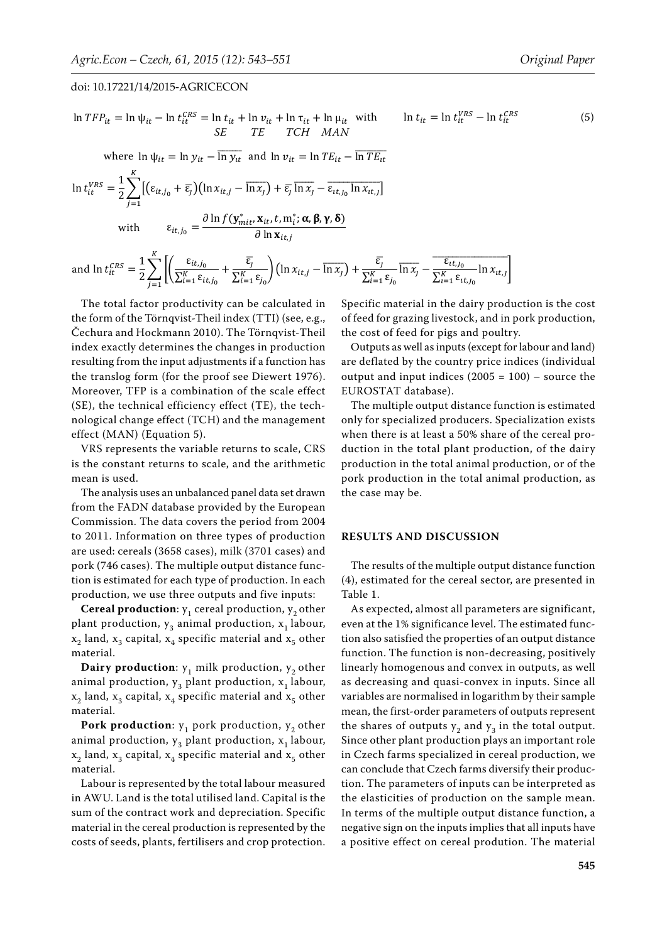$$
\ln TFP_{it} = \ln \psi_{it} - \ln t_{it}^{CRS} = \ln t_{it} + \ln v_{it} + \ln \tau_{it} + \ln \mu_{it} \quad \text{with} \quad \ln t_{it} = \ln t_{it}^{VRS} - \ln t_{it}^{CRS}
$$
(5)  
SE *TE TCH MAN*

where  $\ln \psi_{it} = \ln y_{it} - \overline{\ln y_{it}}$  and  $\ln v_{it} = \ln TE_{it} - \overline{\ln TE_{it}}$ 

$$
\ln t_{it}^{VRS} = \frac{1}{2} \sum_{j=1}^{K} \left[ \left( \varepsilon_{it,j_0} + \overline{\varepsilon_j} \right) \left( \ln x_{it,j} - \overline{\ln x_j} \right) + \overline{\varepsilon_j} \, \overline{\ln x_j} - \overline{\varepsilon_{it,j_0} \ln x_{it,j}} \right]
$$
\n
$$
= \frac{\partial \ln f(\mathbf{y}_{mit}^*, \mathbf{x}_{it}, t, \mathbf{m}_i^*, \alpha, \beta, \gamma, \delta)}{\partial \mathbf{x}_{it}^*, \mathbf{x}_{it}^*, \mathbf{x}_{it}^*, \mathbf{x}_{it}^*, \alpha, \beta, \gamma, \delta)}
$$

with 
$$
\varepsilon_{it,j_0} = \frac{\partial \ln f(\mathbf{y}_{mit}^*, \mathbf{x}_{it}, t, \mathbf{m}_i^*, \alpha)}{\partial \ln \mathbf{x}_{it,j}}
$$

and  $\ln t_{it}^{CRS} = \frac{1}{2} \sum_{j=1} \left[ \left( \frac{\varepsilon_{it,j_0}}{\sum_{i=1}^{K} \varepsilon_{it,j_0}} \right) \right]$  $+\frac{\overline{\epsilon}_j}{\nabla^K}$  $\frac{\varepsilon_j}{\sum_{i=1}^K \varepsilon_{j_0}} \left( \ln x_{it,j} - \overline{\ln x_j} \right) + \frac{\varepsilon_j}{\sum_{i=1}^K \varepsilon_{j_0}} \overline{\ln x_j} - \frac{\varepsilon_{it,j_0}}{\sum_{i=1}^K \varepsilon_{it,j_0}} \ln x_{it,j} \right)$  $\frac{K}{2}$  $j=1$ 

The total factor productivity can be calculated in the form of the Törnqvist-Theil index (TTI) (see, e.g., Čechura and Hockmann 2010). The Törnqvist-Theil index exactly determines the changes in production resulting from the input adjustments if a function has the translog form (for the proof see Diewert 1976). Moreover, TFP is a combination of the scale effect (SE), the technical efficiency effect (TE), the technological change effect (TCH) and the management effect (MAN) (Equation 5).

VRS represents the variable returns to scale, CRS is the constant returns to scale, and the arithmetic mean is used.

The analysis uses an unbalanced panel data set drawn from the FADN database provided by the European Commission. The data covers the period from 2004 to 2011. Information on three types of production are used: cereals (3658 cases), milk (3701 cases) and pork (746 cases). The multiple output distance function is estimated for each type of production. In each production, we use three outputs and five inputs:

**Cereal production:**  $y_1$  cereal production,  $y_2$  other plant production,  $y_3$  animal production,  $x_1$  labour,  $x_2$  land,  $x_3$  capital,  $x_4$  specific material and  $x_5$  other material.

**Dairy production:**  $y_1$  milk production,  $y_2$  other animal production,  $y_3$  plant production,  $x_1$  labour,  $x_2$  land,  $x_3$  capital,  $x_4$  specific material and  $x_5$  other material.

**Pork production:**  $y_1$  pork production,  $y_2$  other animal production,  $y_3$  plant production,  $x_1$  labour,  $x_2$  land,  $x_3$  capital,  $x_4$  specific material and  $x_5$  other material.

Labour is represented by the total labour measured in AWU. Land is the total utilised land. Capital is the sum of the contract work and depreciation. Specific material in the cereal production is represented by the costs of seeds, plants, fertilisers and crop protection. Specific material in the dairy production is the cost of feed for grazing livestock, and in pork production, the cost of feed for pigs and poultry.

Outputs as well as inputs (except for labour and land) are deflated by the country price indices (individual output and input indices  $(2005 = 100)$  – source the EUROSTAT database).

The multiple output distance function is estimated only for specialized producers. Specialization exists when there is at least a 50% share of the cereal production in the total plant production, of the dairy production in the total animal production, or of the pork production in the total animal production, as the case may be.

#### **RESULTS AND DISCUSSION**

The results of the multiple output distance function (4), estimated for the cereal sector, are presented in Table 1.

As expected, almost all parameters are significant, even at the 1% significance level. The estimated function also satisfied the properties of an output distance function. The function is non-decreasing, positively linearly homogenous and convex in outputs, as well as decreasing and quasi-convex in inputs. Since all variables are normalised in logarithm by their sample mean, the first-order parameters of outputs represent the shares of outputs  $y_2$  and  $y_3$  in the total output. Since other plant production plays an important role in Czech farms specialized in cereal production, we can conclude that Czech farms diversify their production. The parameters of inputs can be interpreted as the elasticities of production on the sample mean. In terms of the multiple output distance function, a negative sign on the inputs implies that all inputs have a positive effect on cereal prodution. The material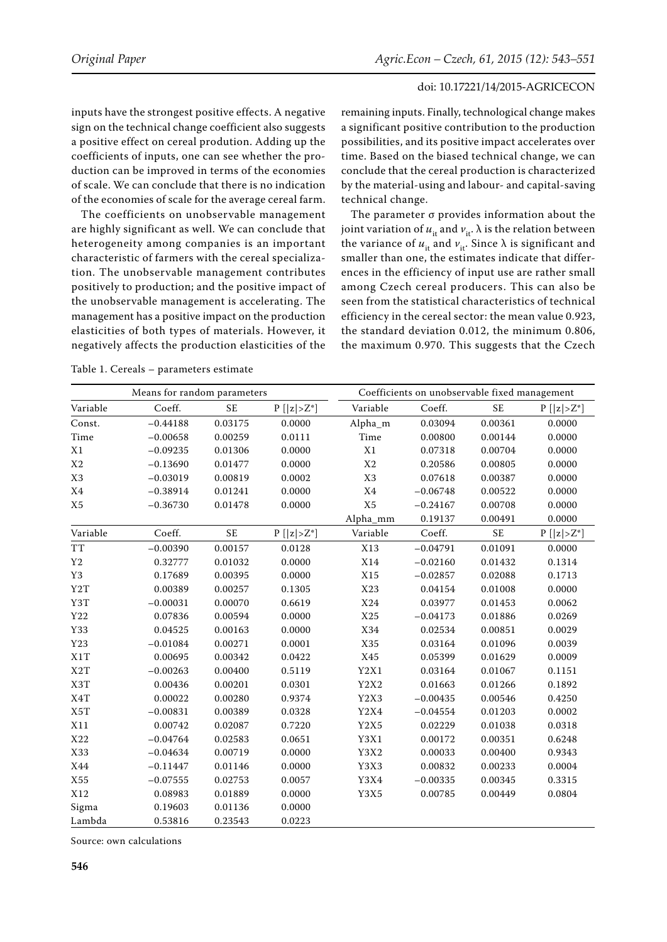inputs have the strongest positive effects. A negative sign on the technical change coefficient also suggests a positive effect on cereal prodution. Adding up the coefficients of inputs, one can see whether the production can be improved in terms of the economies of scale. We can conclude that there is no indication of the economies of scale for the average cereal farm.

The coefficients on unobservable management are highly significant as well. We can conclude that heterogeneity among companies is an important characteristic of farmers with the cereal specialization. The unobservable management contributes positively to production; and the positive impact of the unobservable management is accelerating. The management has a positive impact on the production elasticities of both types of materials. However, it negatively affects the production elasticities of the

remaining inputs. Finally, technological change makes a significant positive contribution to the production possibilities, and its positive impact accelerates over time. Based on the biased technical change, we can conclude that the cereal production is characterized by the material-using and labour- and capital-saving technical change.

The parameter σ provides information about the joint variation of  $u_{it}$  and  $v_{it}$ .  $\lambda$  is the relation between the variance of  $u_{it}$  and  $v_{it}$ . Since  $\lambda$  is significant and smaller than one, the estimates indicate that differences in the efficiency of input use are rather small among Czech cereal producers. This can also be seen from the statistical characteristics of technical efficiency in the cereal sector: the mean value 0.923, the standard deviation 0.012, the minimum 0.806, the maximum 0.970. This suggests that the Czech

| Means for random parameters |            |           |                | Coefficients on unobservable fixed management |            |           |                |
|-----------------------------|------------|-----------|----------------|-----------------------------------------------|------------|-----------|----------------|
| Variable                    | Coeff.     | <b>SE</b> | $P[ z  > Z^*]$ | Variable                                      | Coeff.     | <b>SE</b> | $P[ z  > Z^*]$ |
| Const.                      | $-0.44188$ | 0.03175   | 0.0000         | Alpha_m                                       | 0.03094    | 0.00361   | 0.0000         |
| Time                        | $-0.00658$ | 0.00259   | 0.0111         | Time                                          | 0.00800    | 0.00144   | 0.0000         |
| X1                          | $-0.09235$ | 0.01306   | 0.0000         | X1                                            | 0.07318    | 0.00704   | 0.0000         |
| X2                          | $-0.13690$ | 0.01477   | 0.0000         | X2                                            | 0.20586    | 0.00805   | 0.0000         |
| X3                          | $-0.03019$ | 0.00819   | 0.0002         | X3                                            | 0.07618    | 0.00387   | 0.0000         |
| X4                          | $-0.38914$ | 0.01241   | 0.0000         | X4                                            | $-0.06748$ | 0.00522   | 0.0000         |
| X <sub>5</sub>              | $-0.36730$ | 0.01478   | 0.0000         | X <sub>5</sub>                                | $-0.24167$ | 0.00708   | 0.0000         |
|                             |            |           |                | Alpha_mm                                      | 0.19137    | 0.00491   | 0.0000         |
| Variable                    | Coeff.     | <b>SE</b> | $P[ z  > Z^*]$ | Variable                                      | Coeff.     | <b>SE</b> | $P[ z  > Z^*]$ |
| <b>TT</b>                   | $-0.00390$ | 0.00157   | 0.0128         | X13                                           | $-0.04791$ | 0.01091   | 0.0000         |
| Y2                          | 0.32777    | 0.01032   | 0.0000         | X14                                           | $-0.02160$ | 0.01432   | 0.1314         |
| Y3                          | 0.17689    | 0.00395   | 0.0000         | X15                                           | $-0.02857$ | 0.02088   | 0.1713         |
| Y <sub>2</sub> T            | 0.00389    | 0.00257   | 0.1305         | X23                                           | 0.04154    | 0.01008   | 0.0000         |
| Y3T                         | $-0.00031$ | 0.00070   | 0.6619         | X24                                           | 0.03977    | 0.01453   | 0.0062         |
| Y22                         | 0.07836    | 0.00594   | 0.0000         | X25                                           | $-0.04173$ | 0.01886   | 0.0269         |
| Y33                         | 0.04525    | 0.00163   | 0.0000         | X34                                           | 0.02534    | 0.00851   | 0.0029         |
| Y23                         | $-0.01084$ | 0.00271   | 0.0001         | X35                                           | 0.03164    | 0.01096   | 0.0039         |
| X1T                         | 0.00695    | 0.00342   | 0.0422         | X45                                           | 0.05399    | 0.01629   | 0.0009         |
| X2T                         | $-0.00263$ | 0.00400   | 0.5119         | Y2X1                                          | 0.03164    | 0.01067   | 0.1151         |
| X3T                         | 0.00436    | 0.00201   | 0.0301         | Y2X2                                          | 0.01663    | 0.01266   | 0.1892         |
| X4T                         | 0.00022    | 0.00280   | 0.9374         | Y <sub>2</sub> X <sub>3</sub>                 | $-0.00435$ | 0.00546   | 0.4250         |
| X5T                         | $-0.00831$ | 0.00389   | 0.0328         | Y2X4                                          | $-0.04554$ | 0.01203   | 0.0002         |
| X11                         | 0.00742    | 0.02087   | 0.7220         | Y <sub>2</sub> X <sub>5</sub>                 | 0.02229    | 0.01038   | 0.0318         |
| X22                         | $-0.04764$ | 0.02583   | 0.0651         | Y3X1                                          | 0.00172    | 0.00351   | 0.6248         |
| X33                         | $-0.04634$ | 0.00719   | 0.0000         | Y3X2                                          | 0.00033    | 0.00400   | 0.9343         |
| X44                         | $-0.11447$ | 0.01146   | 0.0000         | Y3X3                                          | 0.00832    | 0.00233   | 0.0004         |
| X55                         | $-0.07555$ | 0.02753   | 0.0057         | Y3X4                                          | $-0.00335$ | 0.00345   | 0.3315         |
| X12                         | 0.08983    | 0.01889   | 0.0000         | ${\bf Y3X5}$                                  | 0.00785    | 0.00449   | 0.0804         |
| Sigma                       | 0.19603    | 0.01136   | 0.0000         |                                               |            |           |                |
| Lambda                      | 0.53816    | 0.23543   | 0.0223         |                                               |            |           |                |

Table 1. Cereals – parameters estimate

Source: own calculations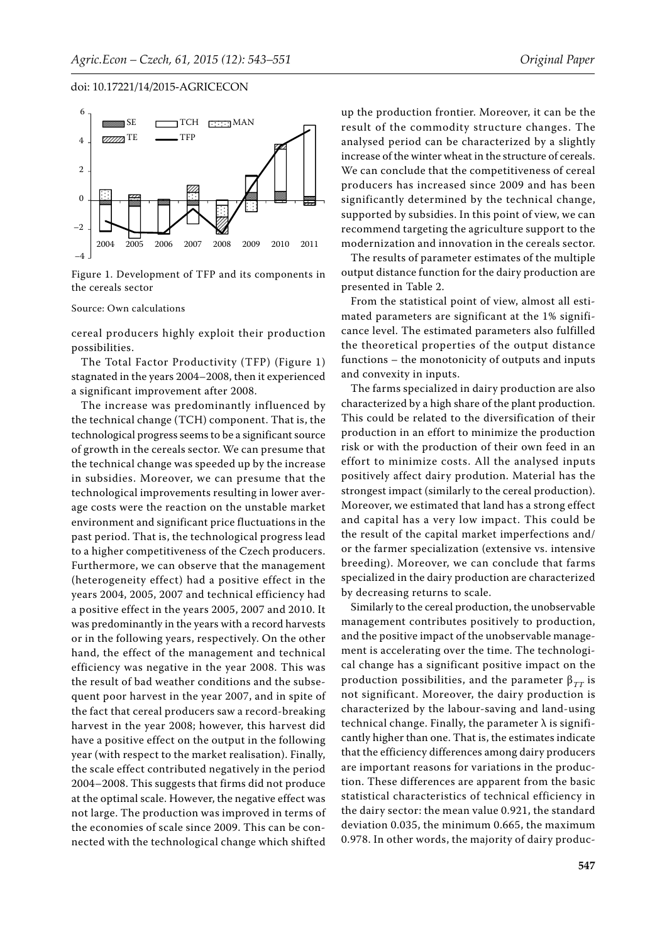

Figure 1. Development of TFP and its components in the cereals sector

#### Source: Own calculations

cereal producers highly exploit their production possibilities.

The Total Factor Productivity (TFP) (Figure 1) stagnated in the years 2004–2008, then it experienced a significant improvement after 2008.

The increase was predominantly influenced by the technical change (TCH) component. That is, the technological progress seems to be a significant source of growth in the cereals sector. We can presume that the technical change was speeded up by the increase in subsidies. Moreover, we can presume that the technological improvements resulting in lower average costs were the reaction on the unstable market environment and significant price fluctuations in the past period. That is, the technological progress lead to a higher competitiveness of the Czech producers. Furthermore, we can observe that the management (heterogeneity effect) had a positive effect in the years 2004, 2005, 2007 and technical efficiency had a positive effect in the years 2005, 2007 and 2010. It was predominantly in the years with a record harvests or in the following years, respectively. On the other hand, the effect of the management and technical efficiency was negative in the year 2008. This was the result of bad weather conditions and the subsequent poor harvest in the year 2007, and in spite of the fact that cereal producers saw a record-breaking harvest in the year 2008; however, this harvest did have a positive effect on the output in the following year (with respect to the market realisation). Finally, the scale effect contributed negatively in the period 2004–2008. This suggests that firms did not produce at the optimal scale. However, the negative effect was not large. The production was improved in terms of the economies of scale since 2009. This can be connected with the technological change which shifted

up the production frontier. Moreover, it can be the result of the commodity structure changes. The analysed period can be characterized by a slightly increase of the winter wheat in the structure of cereals. We can conclude that the competitiveness of cereal producers has increased since 2009 and has been significantly determined by the technical change, supported by subsidies. In this point of view, we can recommend targeting the agriculture support to the modernization and innovation in the cereals sector.

The results of parameter estimates of the multiple output distance function for the dairy production are presented in Table 2.

From the statistical point of view, almost all estimated parameters are significant at the 1% significance level. The estimated parameters also fulfilled the theoretical properties of the output distance functions – the monotonicity of outputs and inputs and convexity in inputs.

The farms specialized in dairy production are also characterized by a high share of the plant production. This could be related to the diversification of their production in an effort to minimize the production risk or with the production of their own feed in an effort to minimize costs. All the analysed inputs positively affect dairy prodution. Material has the strongest impact (similarly to the cereal production). Moreover, we estimated that land has a strong effect and capital has a very low impact. This could be the result of the capital market imperfections and/ or the farmer specialization (extensive vs. intensive breeding). Moreover, we can conclude that farms specialized in the dairy production are characterized by decreasing returns to scale.

Similarly to the cereal production, the unobservable management contributes positively to production, and the positive impact of the unobservable management is accelerating over the time. The technological change has a significant positive impact on the production possibilities, and the parameter  $\beta_{TT}$  is not significant. Moreover, the dairy production is characterized by the labour-saving and land-using technical change. Finally, the parameter  $\lambda$  is significantly higher than one. That is, the estimates indicate that the efficiency differences among dairy producers are important reasons for variations in the production. These differences are apparent from the basic statistical characteristics of technical efficiency in the dairy sector: the mean value 0.921, the standard deviation 0.035, the minimum 0.665, the maximum 0.978. In other words, the majority of dairy produc-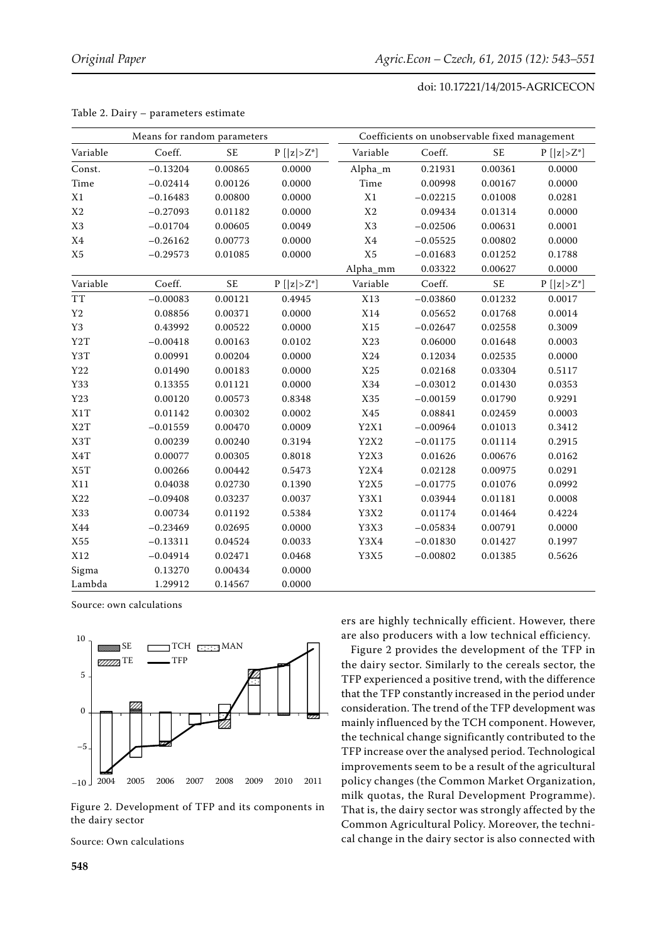| Means for random parameters |            |           |                | Coefficients on unobservable fixed management |            |           |                |
|-----------------------------|------------|-----------|----------------|-----------------------------------------------|------------|-----------|----------------|
| Variable                    | Coeff.     | <b>SE</b> | $P[ z  > Z^*]$ | Variable                                      | Coeff.     | <b>SE</b> | $P[ z  > Z^*]$ |
| Const.                      | $-0.13204$ | 0.00865   | 0.0000         | Alpha_m                                       | 0.21931    | 0.00361   | 0.0000         |
| Time                        | $-0.02414$ | 0.00126   | 0.0000         | Time                                          | 0.00998    | 0.00167   | 0.0000         |
| X1                          | $-0.16483$ | 0.00800   | 0.0000         | X1                                            | $-0.02215$ | 0.01008   | 0.0281         |
| X <sub>2</sub>              | $-0.27093$ | 0.01182   | 0.0000         | X <sub>2</sub>                                | 0.09434    | 0.01314   | 0.0000         |
| X3                          | $-0.01704$ | 0.00605   | 0.0049         | X3                                            | $-0.02506$ | 0.00631   | 0.0001         |
| X4                          | $-0.26162$ | 0.00773   | 0.0000         | X4                                            | $-0.05525$ | 0.00802   | 0.0000         |
| X <sub>5</sub>              | $-0.29573$ | 0.01085   | 0.0000         | X <sub>5</sub>                                | $-0.01683$ | 0.01252   | 0.1788         |
|                             |            |           |                | Alpha_mm                                      | 0.03322    | 0.00627   | 0.0000         |
| Variable                    | Coeff.     | <b>SE</b> | $P[ z  > Z^*]$ | Variable                                      | Coeff.     | <b>SE</b> | $P[ z  > Z^*]$ |
| <b>TT</b>                   | $-0.00083$ | 0.00121   | 0.4945         | X13                                           | $-0.03860$ | 0.01232   | 0.0017         |
| Y2                          | 0.08856    | 0.00371   | 0.0000         | X14                                           | 0.05652    | 0.01768   | 0.0014         |
| Y3                          | 0.43992    | 0.00522   | 0.0000         | X15                                           | $-0.02647$ | 0.02558   | 0.3009         |
| Y <sub>2</sub> T            | $-0.00418$ | 0.00163   | 0.0102         | X23                                           | 0.06000    | 0.01648   | 0.0003         |
| Y3T                         | 0.00991    | 0.00204   | 0.0000         | X24                                           | 0.12034    | 0.02535   | 0.0000         |
| Y22                         | 0.01490    | 0.00183   | 0.0000         | X25                                           | 0.02168    | 0.03304   | 0.5117         |
| Y33                         | 0.13355    | 0.01121   | 0.0000         | X34                                           | $-0.03012$ | 0.01430   | 0.0353         |
| Y23                         | 0.00120    | 0.00573   | 0.8348         | X35                                           | $-0.00159$ | 0.01790   | 0.9291         |
| X1T                         | 0.01142    | 0.00302   | 0.0002         | X45                                           | 0.08841    | 0.02459   | 0.0003         |
| X <sub>2</sub> T            | $-0.01559$ | 0.00470   | 0.0009         | Y2X1                                          | $-0.00964$ | 0.01013   | 0.3412         |
| X3T                         | 0.00239    | 0.00240   | 0.3194         | Y <sub>2</sub> X <sub>2</sub>                 | $-0.01175$ | 0.01114   | 0.2915         |
| X4T                         | 0.00077    | 0.00305   | 0.8018         | Y <sub>2</sub> X <sub>3</sub>                 | 0.01626    | 0.00676   | 0.0162         |
| X5T                         | 0.00266    | 0.00442   | 0.5473         | Y2X4                                          | 0.02128    | 0.00975   | 0.0291         |
| X11                         | 0.04038    | 0.02730   | 0.1390         | Y2X5                                          | $-0.01775$ | 0.01076   | 0.0992         |
| X22                         | $-0.09408$ | 0.03237   | 0.0037         | Y3X1                                          | 0.03944    | 0.01181   | 0.0008         |
| X33                         | 0.00734    | 0.01192   | 0.5384         | Y3X2                                          | 0.01174    | 0.01464   | 0.4224         |
| X44                         | $-0.23469$ | 0.02695   | 0.0000         | Y3X3                                          | $-0.05834$ | 0.00791   | 0.0000         |
| X55                         | $-0.13311$ | 0.04524   | 0.0033         | Y3X4                                          | $-0.01830$ | 0.01427   | 0.1997         |
| X12                         | $-0.04914$ | 0.02471   | 0.0468         | Y3X5                                          | $-0.00802$ | 0.01385   | 0.5626         |
| Sigma                       | 0.13270    | 0.00434   | 0.0000         |                                               |            |           |                |
| Lambda                      | 1.29912    | 0.14567   | 0.0000         |                                               |            |           |                |

#### Table 2. Dairy – parameters estimate

Source: own calculations



Figure 2. Development of TFP and its components in the dairy sector

Source: Own calculations

ers are highly technically efficient. However, there are also producers with a low technical efficiency.

Figure 2 provides the development of the TFP in the dairy sector. Similarly to the cereals sector, the TFP experienced a positive trend, with the difference that the TFP constantly increased in the period under consideration. The trend of the TFP development was mainly influenced by the TCH component. However, the technical change significantly contributed to the TFP increase over the analysed period. Technological improvements seem to be a result of the agricultural policy changes (the Common Market Organization, milk quotas, the Rural Development Programme). That is, the dairy sector was strongly affected by the Common Agricultural Policy. Moreover, the technical change in the dairy sector is also connected with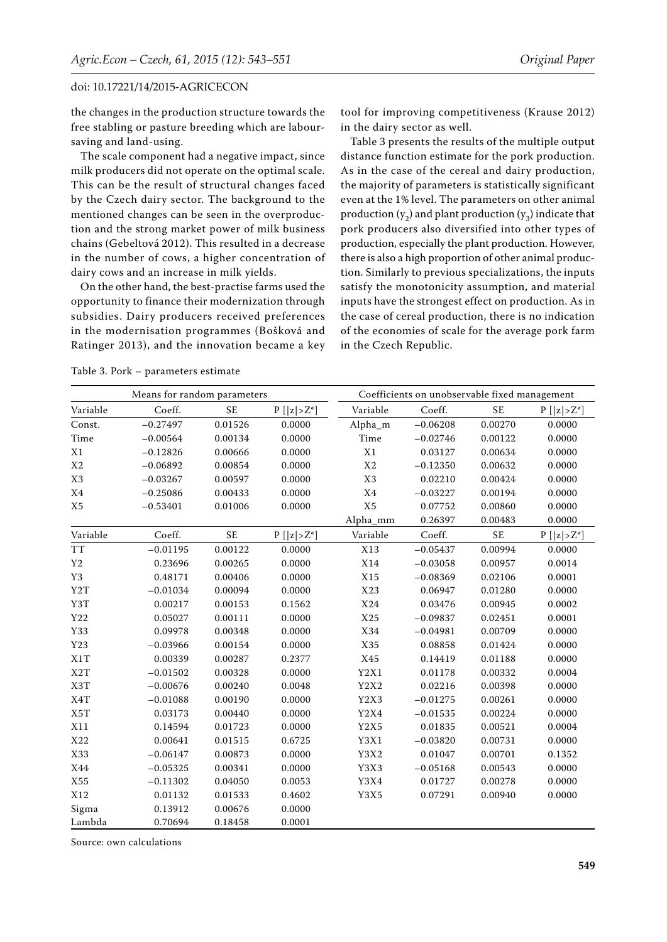the changes in the production structure towards the free stabling or pasture breeding which are laboursaving and land-using.

The scale component had a negative impact, since milk producers did not operate on the optimal scale. This can be the result of structural changes faced by the Czech dairy sector. The background to the mentioned changes can be seen in the overproduction and the strong market power of milk business chains (Gebeltová 2012). This resulted in a decrease in the number of cows, a higher concentration of dairy cows and an increase in milk yields.

On the other hand, the best-practise farms used the opportunity to finance their modernization through subsidies. Dairy producers received preferences in the modernisation programmes (Bošková and Ratinger 2013), and the innovation became a key tool for improving competitiveness (Krause 2012) in the dairy sector as well.

Table 3 presents the results of the multiple output distance function estimate for the pork production. As in the case of the cereal and dairy production, the majority of parameters is statistically significant even at the 1% level. The parameters on other animal production  $(y_2)$  and plant production  $(y_3)$  indicate that pork producers also diversified into other types of production, especially the plant production. However, there is also a high proportion of other animal production. Similarly to previous specializations, the inputs satisfy the monotonicity assumption, and material inputs have the strongest effect on production. As in the case of cereal production, there is no indication of the economies of scale for the average pork farm in the Czech Republic.

Means for random parameters Coefficients on unobservable fixed management Variable Coeff. SE  $P [|z| > Z^*]$  Variable Coeff. SE  $P [|z| > Z^*]$ Const. –0.27497 0.01526 0.0000 Alpha\_m –0.06208 0.00270 0.0000 Time –0.00564 0.00134 0.0000 Time –0.02746 0.00122 0.0000 X1 –0.12826 0.00666 0.0000 X1 0.03127 0.00634 0.0000 X2 –0.06892 0.00854 0.0000 X2 –0.12350 0.00632 0.0000 X3 –0.03267 0.00597 0.0000 X3 0.02210 0.00424 0.0000 X4 –0.25086 0.00433 0.0000 X4 –0.03227 0.00194 0.0000 X5 –0.53401 0.01006 0.0000 X5 0.07752 0.00860 0.0000 Alpha\_mm 0.26397 0.00483 0.0000 Variable Coeff. SE  $P [|z| > Z^*]$  Variable Coeff. SE  $P [|z| > Z^*]$ TT –0.01195 0.00122 0.0000 X13 –0.05437 0.00994 0.0000 Y2 0.23696 0.00265 0.0000 X14 –0.03058 0.00957 0.0014 Y3 0.48171 0.00406 0.0000 X15 –0.08369 0.02106 0.0001 Y2T –0.01034 0.00094 0.0000 X23 0.06947 0.01280 0.0000 Y3T 0.00217 0.00153 0.1562 X24 0.03476 0.00945 0.0002 Y22 0.05027 0.00111 0.0000 X25 –0.09837 0.02451 0.0001 Y33 0.09978 0.00348 0.0000 X34 –0.04981 0.00709 0.0000 Y23 –0.03966 0.00154 0.0000 X35 0.08858 0.01424 0.0000 X1T 0.00339 0.00287 0.2377 X45 0.14419 0.01188 0.0000 X2T –0.01502 0.00328 0.0000 Y2X1 0.01178 0.00332 0.0004 X3T –0.00676 0.00240 0.0048 Y2X2 0.02216 0.00398 0.0000 X4T –0.01088 0.00190 0.0000 Y2X3 –0.01275 0.00261 0.0000 X5T 0.03173 0.00440 0.0000 Y2X4 –0.01535 0.00224 0.0000 X11 0.14594 0.01723 0.0000 Y2X5 0.01835 0.00521 0.0004 X22 0.00641 0.01515 0.6725 Y3X1 –0.03820 0.00731 0.0000 X33 –0.06147 0.00873 0.0000 Y3X2 0.01047 0.00701 0.1352 X44 –0.05325 0.00341 0.0000 Y3X3 –0.05168 0.00543 0.0000 X55 –0.11302 0.04050 0.0053 Y3X4 0.01727 0.00278 0.0000 X12 0.01132 0.01533 0.4602 Y3X5 0.07291 0.00940 0.0000 Sigma 0.13912 0.00676 0.0000 Lambda 0.70694 0.18458 0.0001

Table 3. Pork – parameters estimate

Source: own calculations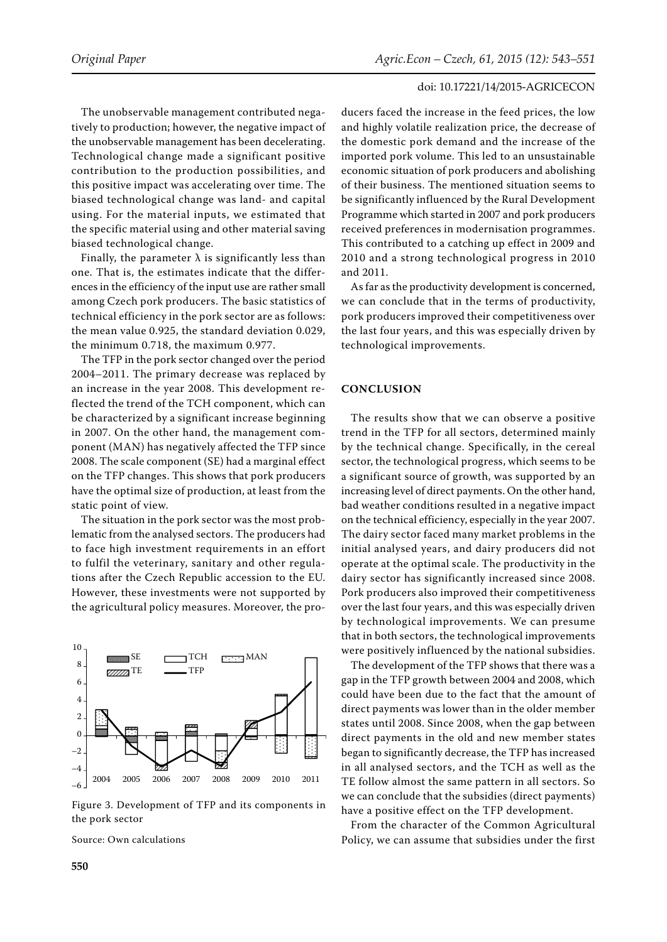The unobservable management contributed negatively to production; however, the negative impact of the unobservable management has been decelerating. Technological change made a significant positive contribution to the production possibilities, and this positive impact was accelerating over time. The biased technological change was land- and capital using. For the material inputs, we estimated that the specific material using and other material saving biased technological change.

Finally, the parameter  $\lambda$  is significantly less than one. That is, the estimates indicate that the differences in the efficiency of the input use are rather small among Czech pork producers. The basic statistics of technical efficiency in the pork sector are as follows: the mean value 0.925, the standard deviation 0.029, the minimum 0.718, the maximum 0.977.

The TFP in the pork sector changed over the period 2004–2011. The primary decrease was replaced by an increase in the year 2008. This development reflected the trend of the TCH component, which can be characterized by a significant increase beginning in 2007. On the other hand, the management component (MAN) has negatively affected the TFP since 2008. The scale component (SE) had a marginal effect on the TFP changes. This shows that pork producers have the optimal size of production, at least from the static point of view.

The situation in the pork sector was the most problematic from the analysed sectors. The producers had to face high investment requirements in an effort to fulfil the veterinary, sanitary and other regulations after the Czech Republic accession to the EU. However, these investments were not supported by the agricultural policy measures. Moreover, the pro-



Figure 3. Development of TFP and its components in the pork sector

Source: Own calculations

ducers faced the increase in the feed prices, the low and highly volatile realization price, the decrease of the domestic pork demand and the increase of the imported pork volume. This led to an unsustainable economic situation of pork producers and abolishing of their business. The mentioned situation seems to be significantly influenced by the Rural Development Programme which started in 2007 and pork producers received preferences in modernisation programmes. This contributed to a catching up effect in 2009 and 2010 and a strong technological progress in 2010 and 2011.

As far as the productivity development is concerned, we can conclude that in the terms of productivity, pork producers improved their competitiveness over the last four years, and this was especially driven by technological improvements.

### **CONCLUSION**

The results show that we can observe a positive trend in the TFP for all sectors, determined mainly by the technical change. Specifically, in the cereal sector, the technological progress, which seems to be a significant source of growth, was supported by an increasing level of direct payments. On the other hand, bad weather conditions resulted in a negative impact on the technical efficiency, especially in the year 2007. The dairy sector faced many market problems in the initial analysed years, and dairy producers did not operate at the optimal scale. The productivity in the dairy sector has significantly increased since 2008. Pork producers also improved their competitiveness over the last four years, and this was especially driven by technological improvements. We can presume that in both sectors, the technological improvements were positively influenced by the national subsidies.

The development of the TFP shows that there was a gap in the TFP growth between 2004 and 2008, which could have been due to the fact that the amount of direct payments was lower than in the older member states until 2008. Since 2008, when the gap between direct payments in the old and new member states began to significantly decrease, the TFP has increased in all analysed sectors, and the TCH as well as the TE follow almost the same pattern in all sectors. So we can conclude that the subsidies (direct payments) have a positive effect on the TFP development.

From the character of the Common Agricultural Policy, we can assume that subsidies under the first